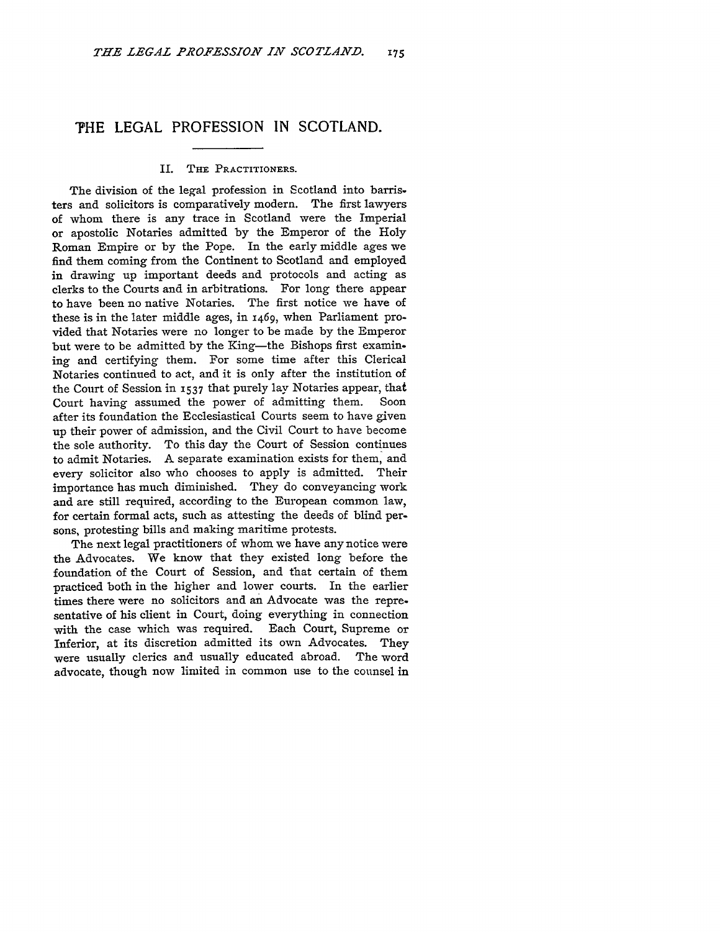## **HE LEGAL PROFESSION IN SCOTLAND.**

## II. **THE** PRACTITIONERS.

The division of the legal profession in Scotland into barristers and solicitors is comparatively modern. The first lawyers of whom there is any trace in Scotland were the Imperial or apostolic Notaries admitted by the Emperor of the Holy Roman Empire or by the Pope. In the early middle ages we find them coming from the Continent to Scotland and employed in drawing up important deeds and protocols and acting as clerks to the Courts and in arbitrations. For long there appear to have been no native Notaries. The first notice we have of these is in the later middle ages, in 1469, when Parliament provided that Notaries were no longer to be made by the Emperor but were to be admitted by the King-the Bishops first examining and certifying them. For some time after this Clerical Notaries continued to act, and it is only after the institution of the Court of Session in **1537** that purely lay Notaries appear, that Court having assumed the power of admitting them. Soon after its foundation the Ecclesiastical Courts seem to have given up their power of admission, and the Civil Court to have become the sole authority. To this day the Court of Session continues to admit Notaries. A separate examination exists for them, and every solicitor also who chooses to apply is admitted. Their importance has much diminished. They do conveyancing work and are still required, according to the European common law, for certain formal acts, such as attesting the deeds of blind persons, protesting bills and making maritime protests.

The next legal practitioners of whom we have any notice were the Advocates. We know that they existed long before the foundation of the Court of Session, and that certain of them practiced both in the higher and lower courts. In the earlier times there were no solicitors and an Advocate was the repre. sentative of his client in Court, doing everything in connection with the case which was required. Each Court, Supreme or Inferior, at its discretion admitted its own Advocates. They were usually clerics and usually educated abroad. The word advocate, though now limited in common use to the counsel in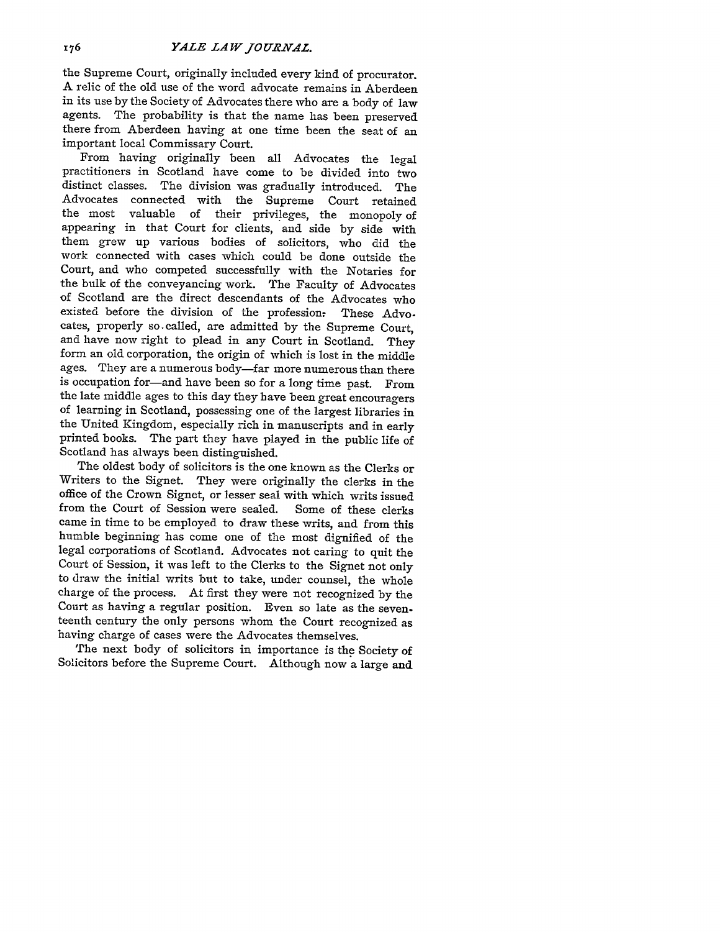the Supreme Court, originally included every kind of procurator. A relic of the old use of the word advocate remains in Aberdeen in its use by the Society of Advocates there who are a body of law agents. The probability is that the name has been preserved there from Aberdeen having at one time been the seat of an important local Commissary Court.

From having originally been all Advocates the legal practitioners in Scotland have come to be divided into two distinct classes. The division was gradually introduced. The Advocates connected with the Supreme Court retained the most valuable of their privileges, the monopoly of appearing in that Court for clients, and side by side with them grew up various bodies of solicitors, who did the work connected with cases which could be done outside the Court, and who competed successfully with the Notaries for the bulk of the conveyancing work. The Faculty of Advocates of Scotland are the direct descendants of the Advocates who existed before the division of the profession: These Advocates, properly so.called, are admitted by the Supreme Court, and have now right to plead in any Court in Scotland. They form an old corporation, the origin of which is lost in the middle ages. They are a numerous body-far more numerous than there is occupation for-and have been so for a long time past. From the late middle ages to this day they have been great encouragers of learning in Scotland, possessing one of the largest libraries in the United Kingdom, especially rich in manuscripts and in early printed books. The part they have played in the public life of Scotland has always been distinguished.

The oldest body of solicitors is the one known as the Clerks or Writers to the Signet. They were originally the clerks in the office of the Crown Signet, or lesser seal with which writs issued from the Court of Session were sealed. Some of these clerks came in time to be employed to draw these writs, and from this humble beginning has come one of the most dignified of the legal corporations of Scotland. Advocates not caring to quit the Court of Session, it was left to the Clerks to the Signet not only to draw the initial writs but to take, under counsel, the whole charge of the process. At first they were not recognized by the Court as having a regular position. Even so late as the seven. teenth century the only persons whom the Court recognized as having charge of cases were the Advocates themselves.

The next body of solicitors in importance is the Society of Solicitors before the Supreme Court. Although now a large and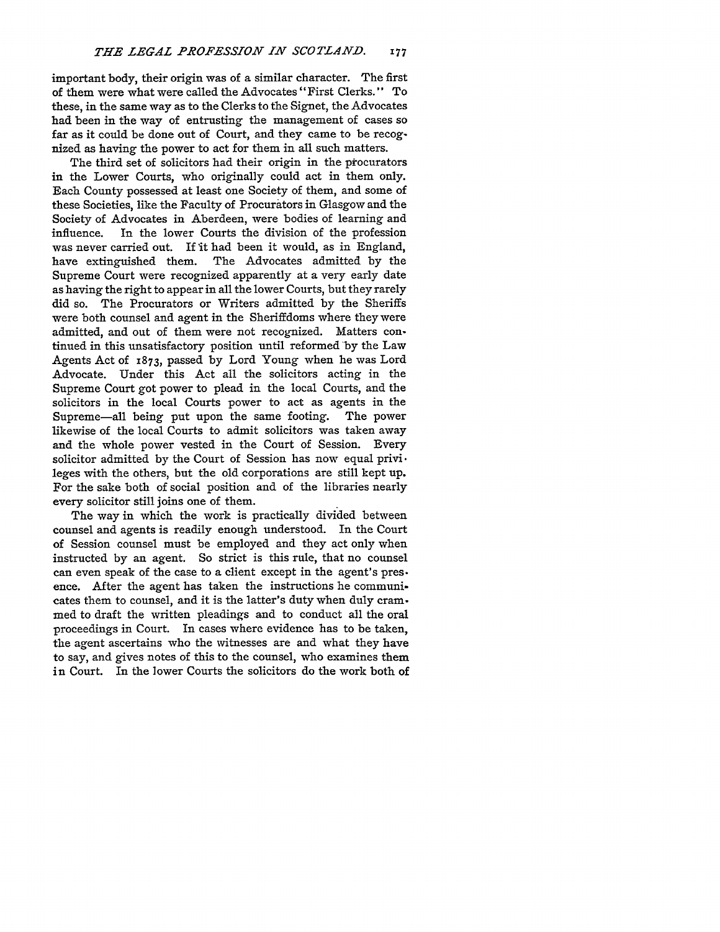important body, their origin was of a similar character. The first of them were what were called the Advocates "First Clerks." To these, in the same way as to the Clerks to the Signet, the Advocates had been in the way of entrusting the management of cases so far as it could be done out of Court, and they came to be recognized as having the power to act for them in all such matters.

The third set of solicitors had their origin in the ptocurators in the Lower Courts, who originally could act in them only. Each County possessed at least one Society of them, and some of these Societies, like the Faculty of Procurators in Glasgow and the Society of Advocates in Aberdeen, were bodies of learning and influence. In the lower Courts the division of the profession was never carried out. If it had been it would, as in England, have extinguished them. The Advocates admitted by the Supreme Court were recognized apparently at a very early date as having the right to appear in all the lower Courts, but they rarely did so. The Procurators or Writers admitted by the Sheriffs were both counsel and agent in the Sheriffdoms where they were admitted, and out of them were not recognized. Matters continued in this unsatisfactory position until reformed by the Law Agents Act of 1873, passed by Lord Young when he was Lord Advocate. Under this Act all the solicitors acting in the Supreme Court got power to plead in the local Courts, and the solicitors in the local Courts power to act as agents in the Supreme-all being put upon the same footing. The power likewise of the local Courts to admit solicitors was taken away and the whole power vested in the Court of Session. Every solicitor admitted by the Court of Session has now equal privi. leges with the others, but the old corporations are still kept up. For the sake both of social position and of the libraries nearly every solicitor still joins one of them.

The way in which the work is practically divided between counsel and agents is readily enough understood. In the Court of Session counsel must be employed and they act only when instructed by an agent. So strict is this rule, that no counsel can even speak of the case to a client except in the agent's pres. ence. After the agent has taken the instructions he communicates them to counsel, and it is the latter's duty when duly crammed to draft the written pleadings and to conduct all the oral proceedings in Court. In cases where evidence has to be taken, the agent ascertains who the witnesses are and what they have to say, and gives notes of this to the counsel, who examines them in Court. In the lower Courts the solicitors do the work both of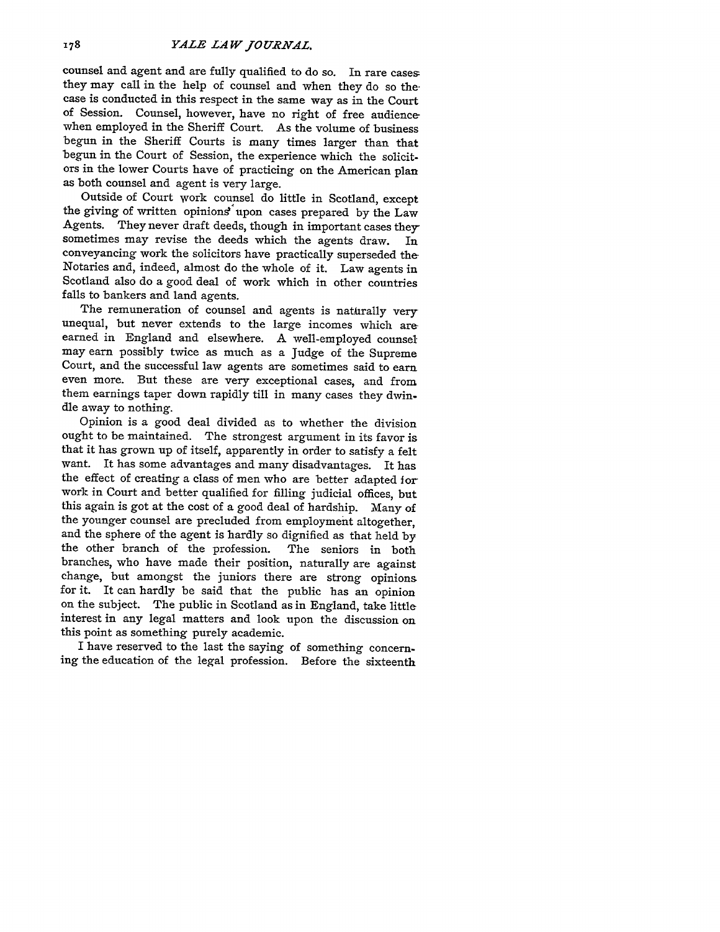counsel and agent and are fully qualified to do so. In rare casesthey may call in the help of counsel and when they do so the. case is conducted in this respect in the same way as in the Court of Session. Counsel, however, have no right of free audience when employed in the Sheriff Court. As the volume of business begun in the Sheriff Courts is many times larger than that begun in the Court of Session, the experience which the solicitors in the lower Courts have of practicing on the American plan as both counsel and agent is very large.

Outside of Court work counsel do little in Scotland, except the giving of written opinions upon cases prepared by the  $Law$ Agents. They never draft deeds, though in important cases they sometimes may revise the deeds which the agents draw. In conveyancing work the solicitors have practically superseded the Notaries and, indeed, almost do the whole of it. Law agents in Scotland also do a good deal of work which in other countries falls to bankers and land agents.<br>The remuneration of counsel and agents is naturally very

unequal, but never extends to the large incomes which are earned in England and elsewhere. **A** well-employed counsel may earn possibly twice as much as a Judge of the Supreme Court, and the successful law agents are sometimes said to earn even more. But these are very exceptional cases, and from them earnings taper down rapidly till in many cases they dwindle away to nothing.

Opinion is a good deal divided as to whether the division ought to be maintained. The strongest argument in its favor is that it has grown up of itself, apparently in order to satisfy a felt want. It has some advantages and many disadvantages. It has the effect of creating a class of men who are better adapted forwork in Court and better qualified for filling judicial offices, but this again is got at the cost of a good deal of hardship. Many of the younger counsel are precluded from employment altogether, and the sphere of the agent is hardly so dignified as that held by the other branch of the profession. The seniors in both branches, who have made their position, naturally are against change, but amongst the juniors there are strong opinions for it. It can hardly be said that the public has an opinion on the subject. The public in Scotland as in England, take little interest in any legal matters and look upon the discussion on this point as something purely academic.

I have reserved to the last the saying of something concerning the education of the legal profession. Before the sixteenth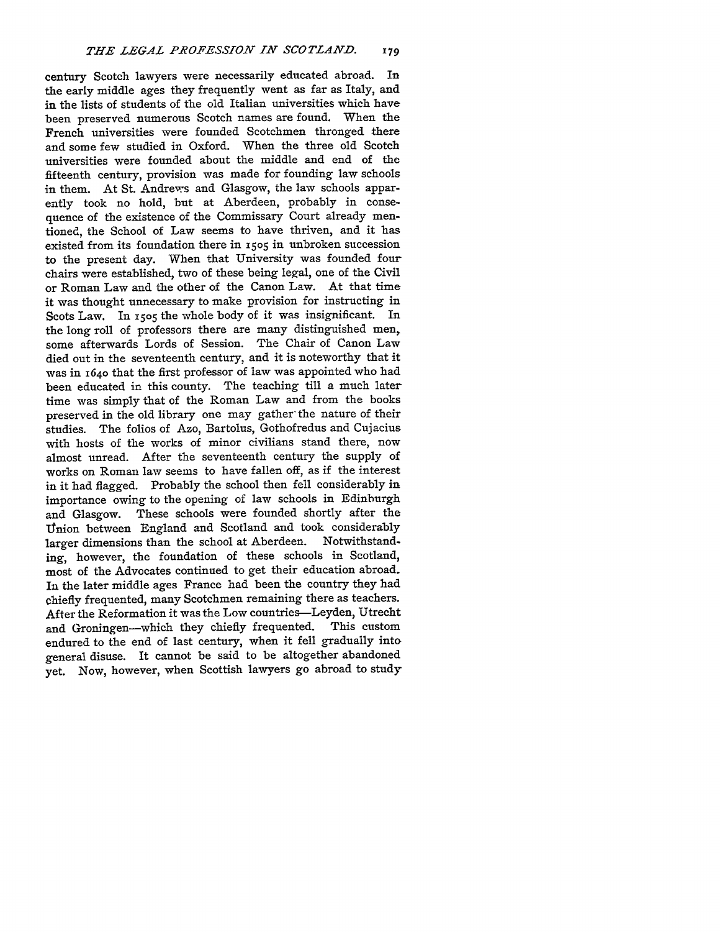century Scotch lawyers were necessarily educated abroad. In the early middle ages they frequently went as far as Italy, and in the lists of students of the old Italian universities which have been preserved numerous Scotch names are found. When the French universities were founded Scotchmen thronged there and some few studied in Oxford. When the three old Scotch universities were founded about the middle and end of the fifteenth century, provision was made for founding law schools in them. At St. Andrews and Glasgow, the law schools apparently took no hold, but at Aberdeen, probably in consequence of the existence of the Commissary Court already mentioned, the School of Law seems to have thriven, and it has existed from its foundation there in 1505 in unbroken succession to the present day. When that University was founded four chairs were established, two of these being legal, one of the Civil or Roman Law and the other of the Canon Law. At that time it was thought unnecessary to make provision for instructing in Scots Law. In **1505** the whole body of it was insignificant. In the long roll of professors there are many distinguished men, some afterwards Lords of Session. The Chair of Canon Law died out in the seventeenth century, and it is noteworthy that it was in **1640** that the first professor of law was appointed who had been educated in this county. The teaching till a much later time was simply that of the Roman Law and from the books preserved in the old library one may gather the nature of their studies. The folios of Azo, Bartolus, Gothofredus and Cujacius with hosts of the works of minor civilians stand there, now almost unread. After the seventeenth century the supply of works on Roman law seems to have fallen off, as if the interest in it had flagged. Probably the school then fell considerably in importance owing to the opening of law schools in Edinburgh and Glasgow. These schools were founded shortly after the Union between England and Scotland and took considerably larger dimensions than the school at Aberdeen. Notwithstanding, however, the foundation of these schools in Scotland, most of the Advocates continued to get their education abroad. In the later middle ages France had been the country they had chiefly frequented, many Scotchmen remaining there as teachers. After the Reformation it was the Low countries-Leyden, Utrecht and Groningen-which they chiefly frequented. This custom endured to the end of last century, when it fell gradually into general disuse. It cannot be said to be altogether abandoned yet. Now, however, when Scottish lawyers go abroad to study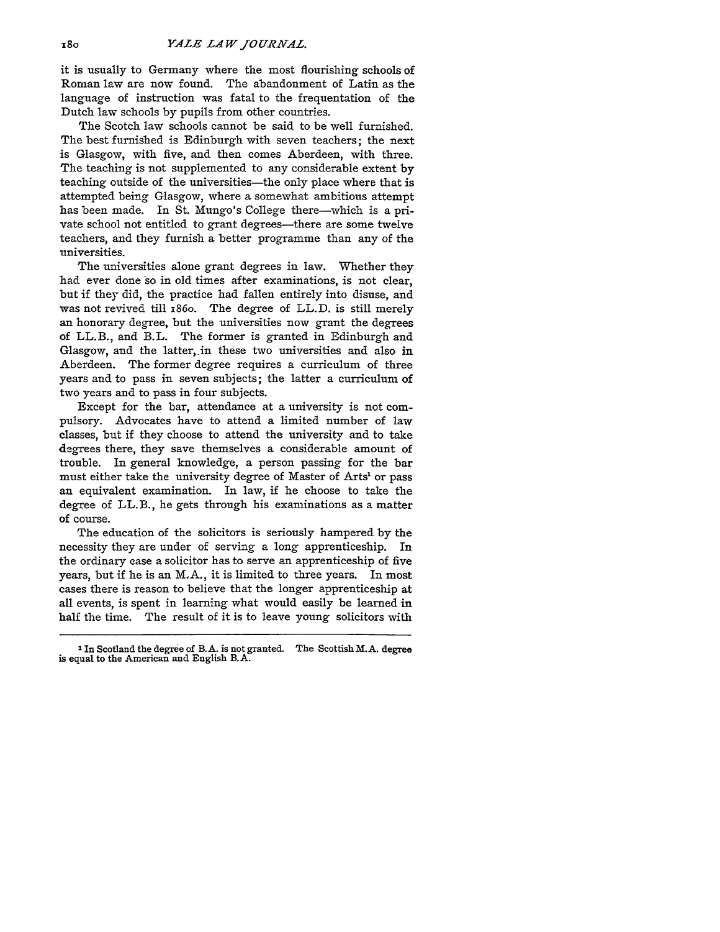it is usually to Germany where the most flourishing schools of Roman law are now found. The abandonment of Latin as the language of instruction was fatal to the frequentation of the Dutch law schools by pupils from other countries.

The Scotch law schools cannot be said to be well furnished. The best furnished is Edinburgh with seven teachers; the next is Glasgow, with five, and then comes Aberdeen, with three. The teaching is not supplemented to any considerable extent by teaching outside of the universities—the only place where that is attempted being Glasgow, where a somewhat ambitious attempt has been made. In St. Mungo's College there-which is a private school not entitled to grant degrees—there are some twelve teachers, and they furnish a better programme than any of the universities.

The universities alone grant degrees in law. Whether they had ever done so in old times after examinations, is not clear, but if they did, the practice had fallen entirely into disuse, and was not revived till 1860. The degree of LL.D. is still merely an honorary degree, but the universities now grant the degrees of LL.B., and B.L. The former is granted in Edinburgh and Glasgow, and the latter, in these two universities and also in Aberdeen. The former degree requires a curriculum of three years and to pass in seven subjects; the latter a curriculum of two years and to pass in four subjects.

Except for the bar, attendance at a university is not compulsory. Advocates have to attend a limited number of law classes, but if they choose to attend the university and to take degrees there, they save themselves a considerable amount of trouble. In general knowledge, a person passing for the bar must either take the university degree of Master of Arts<sup>1</sup> or pass an equivalent examination. In law, if he choose to take the degree of LL.B., he gets through his examinations as a matter of course.

The education of the solicitors is seriously hampered by the necessity they are under of serving a long apprenticeship. In the ordinary case a solicitor has to serve an apprenticeship of five years, but if he is an M.A., it is limited to three years. In most cases there is reason to believe that the longer apprenticeship at all events, is spent in learning what would easily be learned in half the time. The result of it is to leave young solicitors with

**<sup>1</sup>**In Scotland the degree of B.A. is not granted. The Scottish M.A. degree is equal to the American and English B.A.